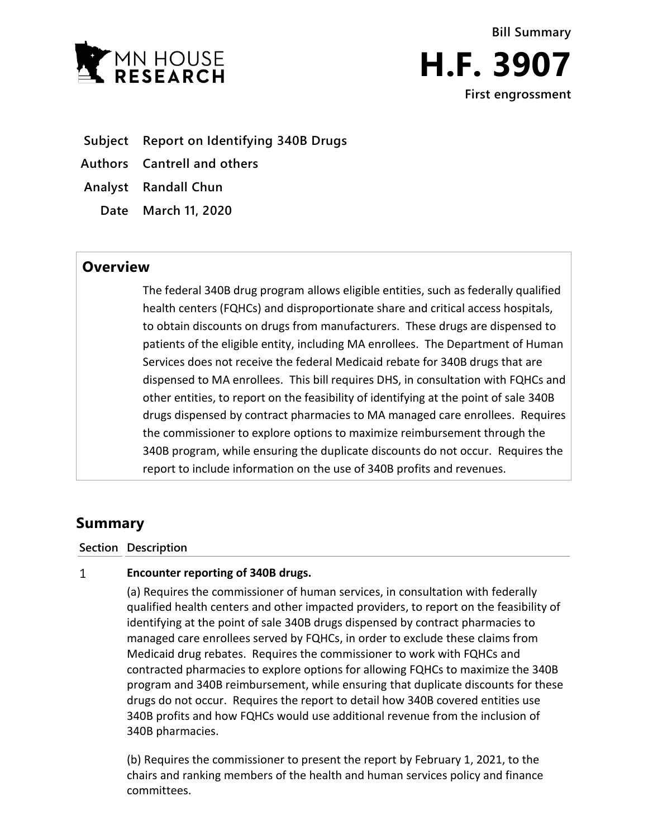



- **Subject Report on Identifying 340B Drugs**
- **Authors Cantrell and others**
- **Analyst Randall Chun**
	- **Date March 11, 2020**

## **Overview**

The federal 340B drug program allows eligible entities, such as federally qualified health centers (FQHCs) and disproportionate share and critical access hospitals, to obtain discounts on drugs from manufacturers. These drugs are dispensed to patients of the eligible entity, including MA enrollees. The Department of Human Services does not receive the federal Medicaid rebate for 340B drugs that are dispensed to MA enrollees. This bill requires DHS, in consultation with FQHCs and other entities, to report on the feasibility of identifying at the point of sale 340B drugs dispensed by contract pharmacies to MA managed care enrollees. Requires the commissioner to explore options to maximize reimbursement through the 340B program, while ensuring the duplicate discounts do not occur. Requires the report to include information on the use of 340B profits and revenues.

## **Summary**

## **Section Description**

## $\mathbf{1}$ **Encounter reporting of 340B drugs.**

(a) Requires the commissioner of human services, in consultation with federally qualified health centers and other impacted providers, to report on the feasibility of identifying at the point of sale 340B drugs dispensed by contract pharmacies to managed care enrollees served by FQHCs, in order to exclude these claims from Medicaid drug rebates. Requires the commissioner to work with FQHCs and contracted pharmacies to explore options for allowing FQHCs to maximize the 340B program and 340B reimbursement, while ensuring that duplicate discounts for these drugs do not occur. Requires the report to detail how 340B covered entities use 340B profits and how FQHCs would use additional revenue from the inclusion of 340B pharmacies.

(b) Requires the commissioner to present the report by February 1, 2021, to the chairs and ranking members of the health and human services policy and finance committees.